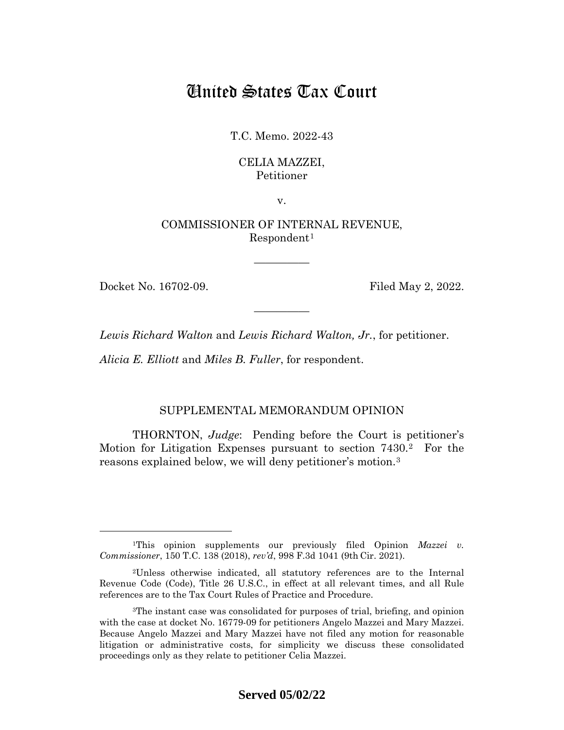# United States Tax Court

T.C. Memo. 2022-43

## CELIA MAZZEI, Petitioner

v.

COMMISSIONER OF INTERNAL REVENUE,  $Respondent<sup>1</sup>$  $Respondent<sup>1</sup>$  $Respondent<sup>1</sup>$ 

—————

—————

Docket No. 16702-09. Filed May 2, 2022.

*Lewis Richard Walton* and *Lewis Richard Walton, Jr.*, for petitioner.

*Alicia E. Elliott* and *Miles B. Fuller*, for respondent.

## SUPPLEMENTAL MEMORANDUM OPINION

THORNTON, *Judge*: Pending before the Court is petitioner's Motion for Litigation Expenses pursuant to section 7430.[2](#page-0-1) For the reasons explained below, we will deny petitioner's motion.[3](#page-0-2)

<span id="page-0-0"></span><sup>&</sup>lt;sup>1</sup>This opinion supplements our previously filed Opinion *Mazzei v*. *Commissioner*, 150 T.C. 138 (2018), *rev'd*, 998 F.3d 1041 (9th Cir. 2021).

<span id="page-0-1"></span><sup>2</sup>Unless otherwise indicated, all statutory references are to the Internal Revenue Code (Code), Title 26 U.S.C., in effect at all relevant times, and all Rule references are to the Tax Court Rules of Practice and Procedure.

<span id="page-0-2"></span><sup>3</sup>The instant case was consolidated for purposes of trial, briefing, and opinion with the case at docket No. 16779-09 for petitioners Angelo Mazzei and Mary Mazzei. Because Angelo Mazzei and Mary Mazzei have not filed any motion for reasonable litigation or administrative costs, for simplicity we discuss these consolidated proceedings only as they relate to petitioner Celia Mazzei.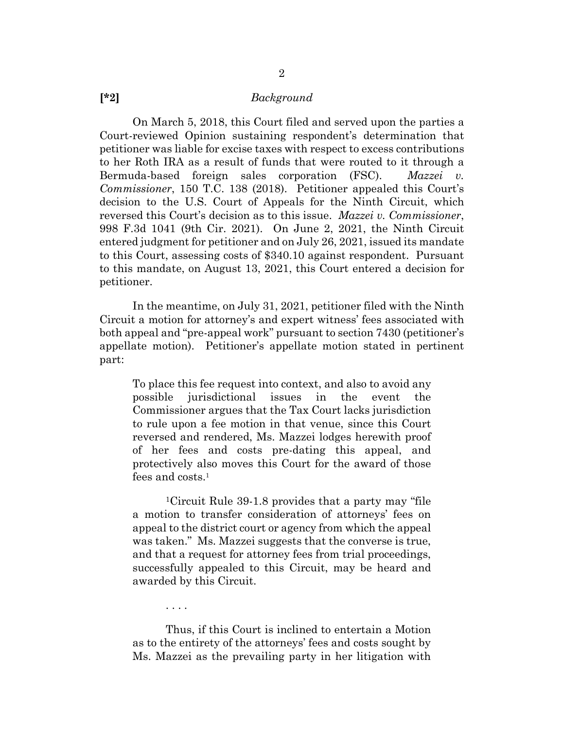#### **[\*2]** *Background*

On March 5, 2018, this Court filed and served upon the parties a Court-reviewed Opinion sustaining respondent's determination that petitioner was liable for excise taxes with respect to excess contributions to her Roth IRA as a result of funds that were routed to it through a Bermuda-based foreign sales corporation (FSC). *Mazzei v. Commissioner*, 150 T.C. 138 (2018). Petitioner appealed this Court's decision to the U.S. Court of Appeals for the Ninth Circuit, which reversed this Court's decision as to this issue. *Mazzei v. Commissioner*, 998 F.3d 1041 (9th Cir. 2021). On June 2, 2021, the Ninth Circuit entered judgment for petitioner and on July 26, 2021, issued its mandate to this Court, assessing costs of \$340.10 against respondent. Pursuant to this mandate, on August 13, 2021, this Court entered a decision for petitioner.

In the meantime, on July 31, 2021, petitioner filed with the Ninth Circuit a motion for attorney's and expert witness' fees associated with both appeal and "pre-appeal work" pursuant to section 7430 (petitioner's appellate motion). Petitioner's appellate motion stated in pertinent part:

To place this fee request into context, and also to avoid any possible jurisdictional issues in the event the Commissioner argues that the Tax Court lacks jurisdiction to rule upon a fee motion in that venue, since this Court reversed and rendered, Ms. Mazzei lodges herewith proof of her fees and costs pre-dating this appeal, and protectively also moves this Court for the award of those fees and costs.<sup>1</sup>

1Circuit Rule 39-1.8 provides that a party may "file a motion to transfer consideration of attorneys' fees on appeal to the district court or agency from which the appeal was taken." Ms. Mazzei suggests that the converse is true, and that a request for attorney fees from trial proceedings, successfully appealed to this Circuit, may be heard and awarded by this Circuit.

Thus, if this Court is inclined to entertain a Motion as to the entirety of the attorneys' fees and costs sought by Ms. Mazzei as the prevailing party in her litigation with

. . . .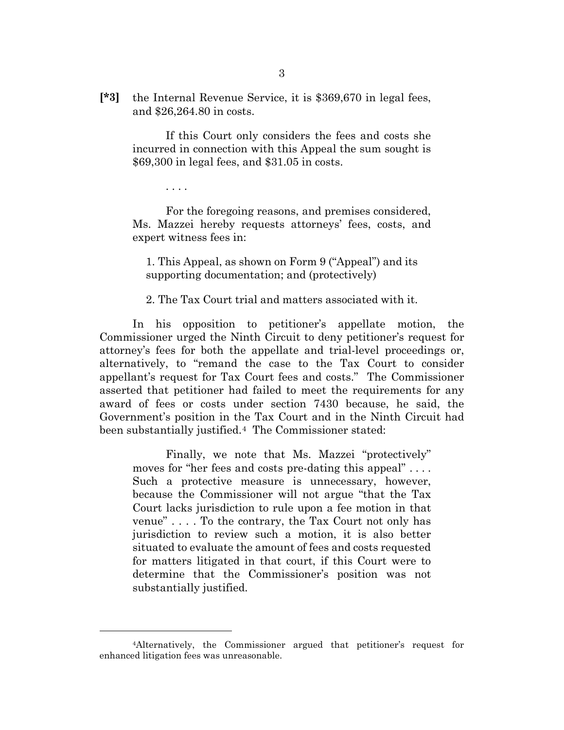**[\*3]** the Internal Revenue Service, it is \$369,670 in legal fees, and \$26,264.80 in costs.

If this Court only considers the fees and costs she incurred in connection with this Appeal the sum sought is \$69,300 in legal fees, and \$31.05 in costs.

For the foregoing reasons, and premises considered, Ms. Mazzei hereby requests attorneys' fees, costs, and expert witness fees in:

. . . .

1. This Appeal, as shown on Form 9 ("Appeal") and its supporting documentation; and (protectively)

2. The Tax Court trial and matters associated with it.

In his opposition to petitioner's appellate motion, the Commissioner urged the Ninth Circuit to deny petitioner's request for attorney's fees for both the appellate and trial-level proceedings or, alternatively, to "remand the case to the Tax Court to consider appellant's request for Tax Court fees and costs." The Commissioner asserted that petitioner had failed to meet the requirements for any award of fees or costs under section 7430 because, he said, the Government's position in the Tax Court and in the Ninth Circuit had been substantially justified.[4](#page-2-0) The Commissioner stated:

Finally, we note that Ms. Mazzei "protectively" moves for "her fees and costs pre-dating this appeal".... Such a protective measure is unnecessary, however, because the Commissioner will not argue "that the Tax Court lacks jurisdiction to rule upon a fee motion in that venue" . . . . To the contrary, the Tax Court not only has jurisdiction to review such a motion, it is also better situated to evaluate the amount of fees and costs requested for matters litigated in that court, if this Court were to determine that the Commissioner's position was not substantially justified.

<span id="page-2-0"></span><sup>4</sup>Alternatively, the Commissioner argued that petitioner's request for enhanced litigation fees was unreasonable.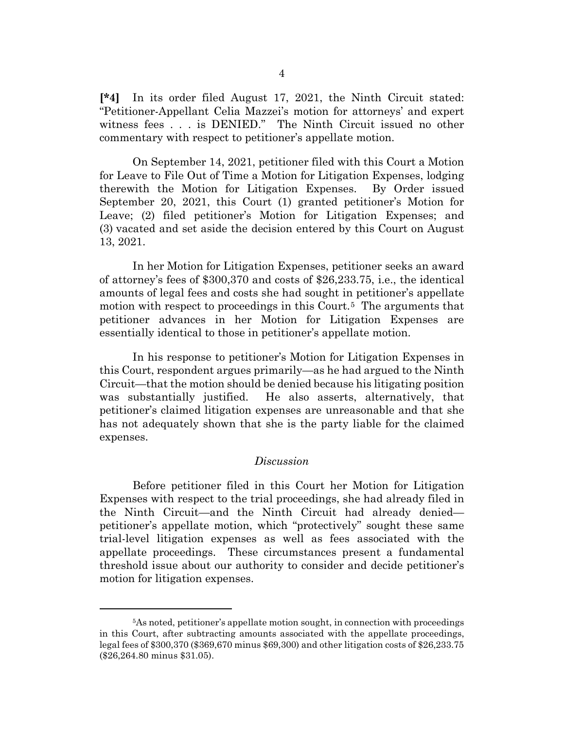**[\*4]** In its order filed August 17, 2021, the Ninth Circuit stated: "Petitioner-Appellant Celia Mazzei's motion for attorneys' and expert witness fees . . . is DENIED." The Ninth Circuit issued no other commentary with respect to petitioner's appellate motion.

On September 14, 2021, petitioner filed with this Court a Motion for Leave to File Out of Time a Motion for Litigation Expenses, lodging therewith the Motion for Litigation Expenses. By Order issued September 20, 2021, this Court (1) granted petitioner's Motion for Leave; (2) filed petitioner's Motion for Litigation Expenses; and (3) vacated and set aside the decision entered by this Court on August 13, 2021.

In her Motion for Litigation Expenses, petitioner seeks an award of attorney's fees of \$300,370 and costs of \$26,233.75, i.e., the identical amounts of legal fees and costs she had sought in petitioner's appellate motion with respect to proceedings in this Court.<sup>[5](#page-3-0)</sup> The arguments that petitioner advances in her Motion for Litigation Expenses are essentially identical to those in petitioner's appellate motion.

In his response to petitioner's Motion for Litigation Expenses in this Court, respondent argues primarily—as he had argued to the Ninth Circuit—that the motion should be denied because his litigating position was substantially justified. He also asserts, alternatively, that petitioner's claimed litigation expenses are unreasonable and that she has not adequately shown that she is the party liable for the claimed expenses.

### *Discussion*

Before petitioner filed in this Court her Motion for Litigation Expenses with respect to the trial proceedings, she had already filed in the Ninth Circuit—and the Ninth Circuit had already denied petitioner's appellate motion, which "protectively" sought these same trial-level litigation expenses as well as fees associated with the appellate proceedings. These circumstances present a fundamental threshold issue about our authority to consider and decide petitioner's motion for litigation expenses.

<span id="page-3-0"></span><sup>5</sup>As noted, petitioner's appellate motion sought, in connection with proceedings in this Court, after subtracting amounts associated with the appellate proceedings, legal fees of \$300,370 (\$369,670 minus \$69,300) and other litigation costs of \$26,233.75 (\$26,264.80 minus \$31.05).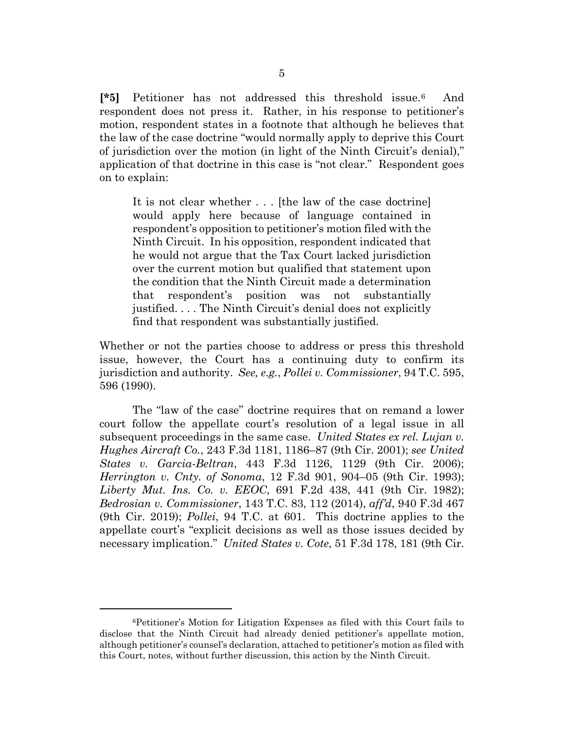**[\*5]** Petitioner has not addressed this threshold issue.[6](#page-4-0) And respondent does not press it. Rather, in his response to petitioner's motion, respondent states in a footnote that although he believes that the law of the case doctrine "would normally apply to deprive this Court of jurisdiction over the motion (in light of the Ninth Circuit's denial)," application of that doctrine in this case is "not clear." Respondent goes on to explain:

It is not clear whether . . . [the law of the case doctrine] would apply here because of language contained in respondent's opposition to petitioner's motion filed with the Ninth Circuit. In his opposition, respondent indicated that he would not argue that the Tax Court lacked jurisdiction over the current motion but qualified that statement upon the condition that the Ninth Circuit made a determination that respondent's position was not substantially justified. . . . The Ninth Circuit's denial does not explicitly find that respondent was substantially justified.

Whether or not the parties choose to address or press this threshold issue, however, the Court has a continuing duty to confirm its jurisdiction and authority. *See, e.g.*, *Pollei v. Commissioner*, 94 T.C. 595, 596 (1990).

The "law of the case" doctrine requires that on remand a lower court follow the appellate court's resolution of a legal issue in all subsequent proceedings in the same case. *United States ex rel. Lujan v. Hughes Aircraft Co.*, 243 F.3d 1181, 1186–87 (9th Cir. 2001); *see United States v. Garcia-Beltran*, 443 F.3d 1126, 1129 (9th Cir. 2006); *Herrington v. Cnty. of Sonoma*, 12 F.3d 901, 904–05 (9th Cir. 1993); *Liberty Mut. Ins. Co. v. EEOC*, 691 F.2d 438, 441 (9th Cir. 1982); *Bedrosian v. Commissioner*, 143 T.C. 83, 112 (2014), *aff'd*, 940 F.3d 467 (9th Cir. 2019); *Pollei*, 94 T.C. at 601. This doctrine applies to the appellate court's "explicit decisions as well as those issues decided by necessary implication." *United States v. Cote*, 51 F.3d 178, 181 (9th Cir.

<span id="page-4-0"></span><sup>6</sup>Petitioner's Motion for Litigation Expenses as filed with this Court fails to disclose that the Ninth Circuit had already denied petitioner's appellate motion, although petitioner's counsel's declaration, attached to petitioner's motion as filed with this Court, notes, without further discussion, this action by the Ninth Circuit.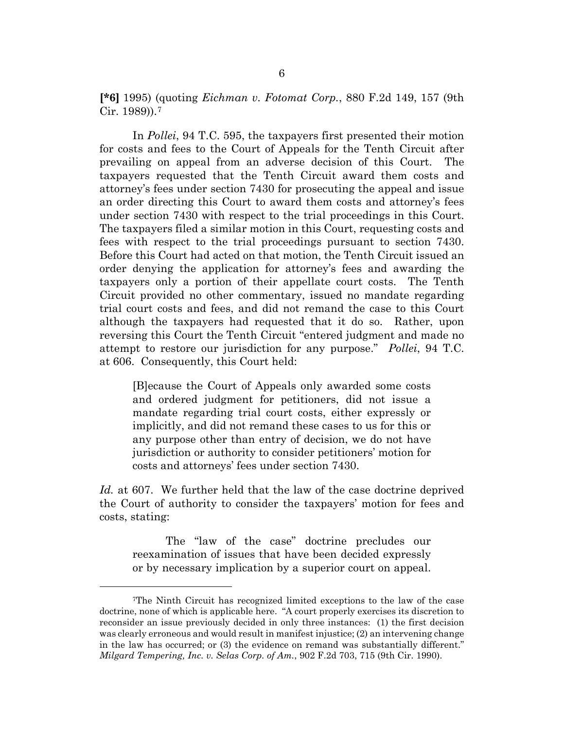**[\*6]** 1995) (quoting *Eichman v. Fotomat Corp.*, 880 F.2d 149, 157 (9th Cir. 1989)).[7](#page-5-0)

In *Pollei*, 94 T.C. 595, the taxpayers first presented their motion for costs and fees to the Court of Appeals for the Tenth Circuit after prevailing on appeal from an adverse decision of this Court. The taxpayers requested that the Tenth Circuit award them costs and attorney's fees under section 7430 for prosecuting the appeal and issue an order directing this Court to award them costs and attorney's fees under section 7430 with respect to the trial proceedings in this Court. The taxpayers filed a similar motion in this Court, requesting costs and fees with respect to the trial proceedings pursuant to section 7430. Before this Court had acted on that motion, the Tenth Circuit issued an order denying the application for attorney's fees and awarding the taxpayers only a portion of their appellate court costs. The Tenth Circuit provided no other commentary, issued no mandate regarding trial court costs and fees, and did not remand the case to this Court although the taxpayers had requested that it do so. Rather, upon reversing this Court the Tenth Circuit "entered judgment and made no attempt to restore our jurisdiction for any purpose." *Pollei*, 94 T.C. at 606. Consequently, this Court held:

[B]ecause the Court of Appeals only awarded some costs and ordered judgment for petitioners, did not issue a mandate regarding trial court costs, either expressly or implicitly, and did not remand these cases to us for this or any purpose other than entry of decision, we do not have jurisdiction or authority to consider petitioners' motion for costs and attorneys' fees under section 7430.

*Id.* at 607. We further held that the law of the case doctrine deprived the Court of authority to consider the taxpayers' motion for fees and costs, stating:

The "law of the case" doctrine precludes our reexamination of issues that have been decided expressly or by necessary implication by a superior court on appeal.

<span id="page-5-0"></span><sup>7</sup>The Ninth Circuit has recognized limited exceptions to the law of the case doctrine, none of which is applicable here. "A court properly exercises its discretion to reconsider an issue previously decided in only three instances: (1) the first decision was clearly erroneous and would result in manifest injustice; (2) an intervening change in the law has occurred; or (3) the evidence on remand was substantially different." *Milgard Tempering, Inc. v. Selas Corp. of Am.*, 902 F.2d 703, 715 (9th Cir. 1990).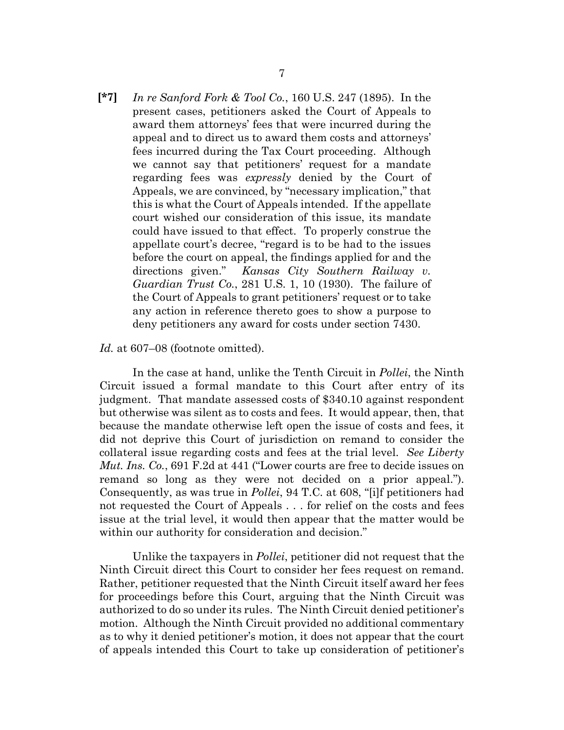*In re Sanford Fork & Tool Co.*, 160 U.S. 247 (1895). In the present cases, petitioners asked the Court of Appeals to award them attorneys' fees that were incurred during the appeal and to direct us to award them costs and attorneys' fees incurred during the Tax Court proceeding. Although we cannot say that petitioners' request for a mandate regarding fees was *expressly* denied by the Court of Appeals, we are convinced, by "necessary implication," that this is what the Court of Appeals intended. If the appellate court wished our consideration of this issue, its mandate could have issued to that effect. To properly construe the appellate court's decree, "regard is to be had to the issues before the court on appeal, the findings applied for and the directions given." *Kansas City Southern Railway v. Guardian Trust Co.*, 281 U.S. 1, 10 (1930). The failure of the Court of Appeals to grant petitioners' request or to take any action in reference thereto goes to show a purpose to deny petitioners any award for costs under section 7430. **[\*7]**

#### *Id.* at 607–08 (footnote omitted).

In the case at hand, unlike the Tenth Circuit in *Pollei*, the Ninth Circuit issued a formal mandate to this Court after entry of its judgment. That mandate assessed costs of \$340.10 against respondent but otherwise was silent as to costs and fees. It would appear, then, that because the mandate otherwise left open the issue of costs and fees, it did not deprive this Court of jurisdiction on remand to consider the collateral issue regarding costs and fees at the trial level. *See Liberty Mut. Ins. Co.*, 691 F.2d at 441 ("Lower courts are free to decide issues on remand so long as they were not decided on a prior appeal."). Consequently, as was true in *Pollei*, 94 T.C. at 608, "[i]f petitioners had not requested the Court of Appeals . . . for relief on the costs and fees issue at the trial level, it would then appear that the matter would be within our authority for consideration and decision."

Unlike the taxpayers in *Pollei*, petitioner did not request that the Ninth Circuit direct this Court to consider her fees request on remand. Rather, petitioner requested that the Ninth Circuit itself award her fees for proceedings before this Court, arguing that the Ninth Circuit was authorized to do so under its rules. The Ninth Circuit denied petitioner's motion. Although the Ninth Circuit provided no additional commentary as to why it denied petitioner's motion, it does not appear that the court of appeals intended this Court to take up consideration of petitioner's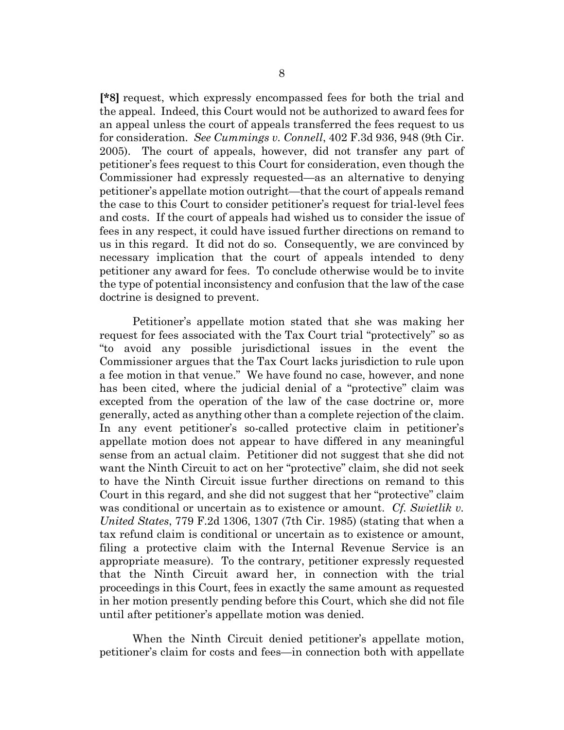**[\*8]** request, which expressly encompassed fees for both the trial and the appeal. Indeed, this Court would not be authorized to award fees for an appeal unless the court of appeals transferred the fees request to us for consideration. *See Cummings v. Connell*, 402 F.3d 936, 948 (9th Cir. 2005). The court of appeals, however, did not transfer any part of petitioner's fees request to this Court for consideration, even though the Commissioner had expressly requested—as an alternative to denying petitioner's appellate motion outright—that the court of appeals remand the case to this Court to consider petitioner's request for trial-level fees and costs. If the court of appeals had wished us to consider the issue of fees in any respect, it could have issued further directions on remand to us in this regard. It did not do so. Consequently, we are convinced by necessary implication that the court of appeals intended to deny petitioner any award for fees. To conclude otherwise would be to invite the type of potential inconsistency and confusion that the law of the case doctrine is designed to prevent.

Petitioner's appellate motion stated that she was making her request for fees associated with the Tax Court trial "protectively" so as "to avoid any possible jurisdictional issues in the event the Commissioner argues that the Tax Court lacks jurisdiction to rule upon a fee motion in that venue." We have found no case, however, and none has been cited, where the judicial denial of a "protective" claim was excepted from the operation of the law of the case doctrine or, more generally, acted as anything other than a complete rejection of the claim. In any event petitioner's so-called protective claim in petitioner's appellate motion does not appear to have differed in any meaningful sense from an actual claim. Petitioner did not suggest that she did not want the Ninth Circuit to act on her "protective" claim, she did not seek to have the Ninth Circuit issue further directions on remand to this Court in this regard, and she did not suggest that her "protective" claim was conditional or uncertain as to existence or amount. *Cf. Swietlik v. United States*, 779 F.2d 1306, 1307 (7th Cir. 1985) (stating that when a tax refund claim is conditional or uncertain as to existence or amount, filing a protective claim with the Internal Revenue Service is an appropriate measure). To the contrary, petitioner expressly requested that the Ninth Circuit award her, in connection with the trial proceedings in this Court, fees in exactly the same amount as requested in her motion presently pending before this Court, which she did not file until after petitioner's appellate motion was denied.

When the Ninth Circuit denied petitioner's appellate motion, petitioner's claim for costs and fees—in connection both with appellate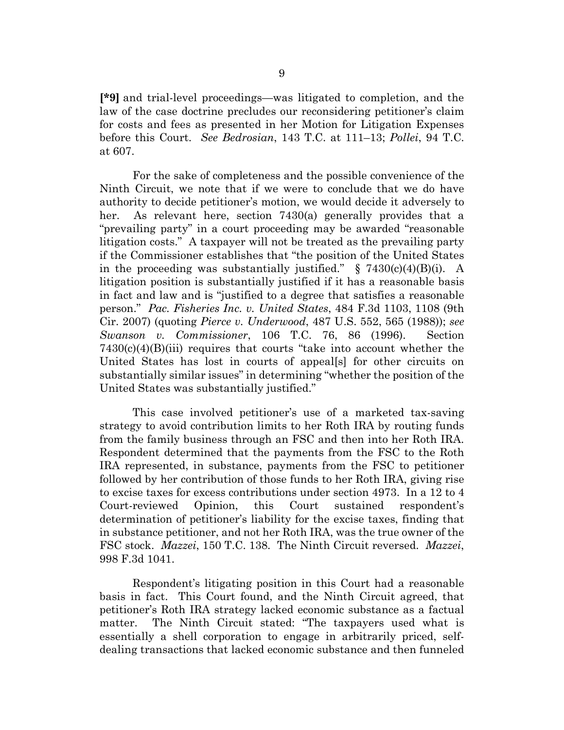**[\*9]** and trial-level proceedings—was litigated to completion, and the law of the case doctrine precludes our reconsidering petitioner's claim for costs and fees as presented in her Motion for Litigation Expenses before this Court. *See Bedrosian*, 143 T.C. at 111–13; *Pollei*, 94 T.C. at 607.

For the sake of completeness and the possible convenience of the Ninth Circuit, we note that if we were to conclude that we do have authority to decide petitioner's motion, we would decide it adversely to her. As relevant here, section 7430(a) generally provides that a "prevailing party" in a court proceeding may be awarded "reasonable litigation costs." A taxpayer will not be treated as the prevailing party if the Commissioner establishes that "the position of the United States in the proceeding was substantially justified."  $\S$  7430(c)(4)(B)(i). A litigation position is substantially justified if it has a reasonable basis in fact and law and is "justified to a degree that satisfies a reasonable person." *Pac. Fisheries Inc. v. United States*, 484 F.3d 1103, 1108 (9th Cir. 2007) (quoting *Pierce v. Underwood*, 487 U.S. 552, 565 (1988)); *see Swanson v. Commissioner*, 106 T.C. 76, 86 (1996). Section  $7430(c)(4)(B)(iii)$  requires that courts "take into account whether the United States has lost in courts of appeal[s] for other circuits on substantially similar issues" in determining "whether the position of the United States was substantially justified."

This case involved petitioner's use of a marketed tax-saving strategy to avoid contribution limits to her Roth IRA by routing funds from the family business through an FSC and then into her Roth IRA. Respondent determined that the payments from the FSC to the Roth IRA represented, in substance, payments from the FSC to petitioner followed by her contribution of those funds to her Roth IRA, giving rise to excise taxes for excess contributions under section 4973. In a 12 to 4 Court-reviewed Opinion, this Court sustained respondent's determination of petitioner's liability for the excise taxes, finding that in substance petitioner, and not her Roth IRA, was the true owner of the FSC stock. *Mazzei*, 150 T.C. 138. The Ninth Circuit reversed. *Mazzei*, 998 F.3d 1041.

Respondent's litigating position in this Court had a reasonable basis in fact. This Court found, and the Ninth Circuit agreed, that petitioner's Roth IRA strategy lacked economic substance as a factual matter. The Ninth Circuit stated: "The taxpayers used what is essentially a shell corporation to engage in arbitrarily priced, selfdealing transactions that lacked economic substance and then funneled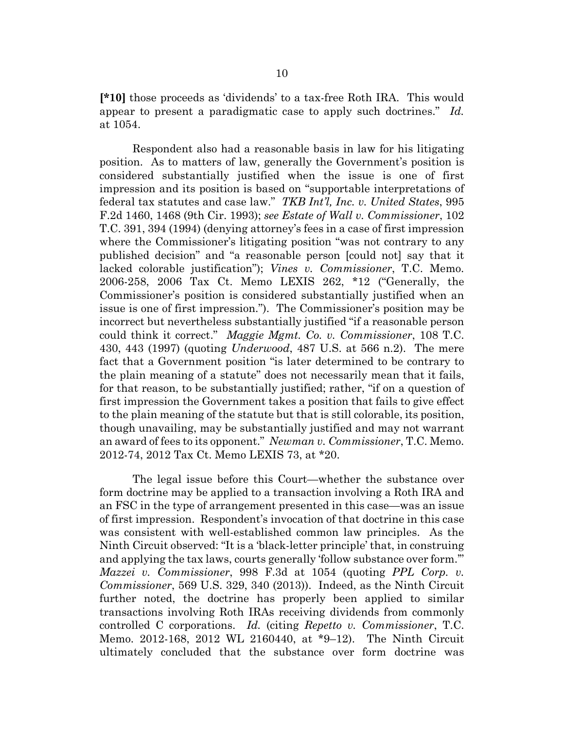**[\*10]** those proceeds as 'dividends' to a tax-free Roth IRA. This would appear to present a paradigmatic case to apply such doctrines." *Id.* at 1054.

Respondent also had a reasonable basis in law for his litigating position. As to matters of law, generally the Government's position is considered substantially justified when the issue is one of first impression and its position is based on "supportable interpretations of federal tax statutes and case law." *TKB Int'l, Inc. v. United States*, 995 F.2d 1460, 1468 (9th Cir. 1993); *see Estate of Wall v. Commissioner*, 102 T.C. 391, 394 (1994) (denying attorney's fees in a case of first impression where the Commissioner's litigating position "was not contrary to any published decision" and "a reasonable person [could not] say that it lacked colorable justification"); *Vines v. Commissioner*, T.C. Memo. 2006-258, 2006 Tax Ct. Memo LEXIS 262, \*12 ("Generally, the Commissioner's position is considered substantially justified when an issue is one of first impression."). The Commissioner's position may be incorrect but nevertheless substantially justified "if a reasonable person could think it correct." *Maggie Mgmt. Co. v. Commissioner*, 108 T.C. 430, 443 (1997) (quoting *Underwood*, 487 U.S. at 566 n.2). The mere fact that a Government position "is later determined to be contrary to the plain meaning of a statute" does not necessarily mean that it fails, for that reason, to be substantially justified; rather, "if on a question of first impression the Government takes a position that fails to give effect to the plain meaning of the statute but that is still colorable, its position, though unavailing, may be substantially justified and may not warrant an award of fees to its opponent." *Newman v. Commissioner*, T.C. Memo. 2012-74, 2012 Tax Ct. Memo LEXIS 73, at \*20.

The legal issue before this Court—whether the substance over form doctrine may be applied to a transaction involving a Roth IRA and an FSC in the type of arrangement presented in this case—was an issue of first impression. Respondent's invocation of that doctrine in this case was consistent with well-established common law principles. As the Ninth Circuit observed: "It is a 'black-letter principle' that, in construing and applying the tax laws, courts generally 'follow substance over form.'" *Mazzei v. Commissioner*, 998 F.3d at 1054 (quoting *PPL Corp. v. Commissioner*, 569 U.S. 329, 340 (2013)). Indeed, as the Ninth Circuit further noted, the doctrine has properly been applied to similar transactions involving Roth IRAs receiving dividends from commonly controlled C corporations. *Id.* (citing *Repetto v. Commissioner*, T.C. Memo. 2012-168, 2012 WL 2160440, at \*9–12). The Ninth Circuit ultimately concluded that the substance over form doctrine was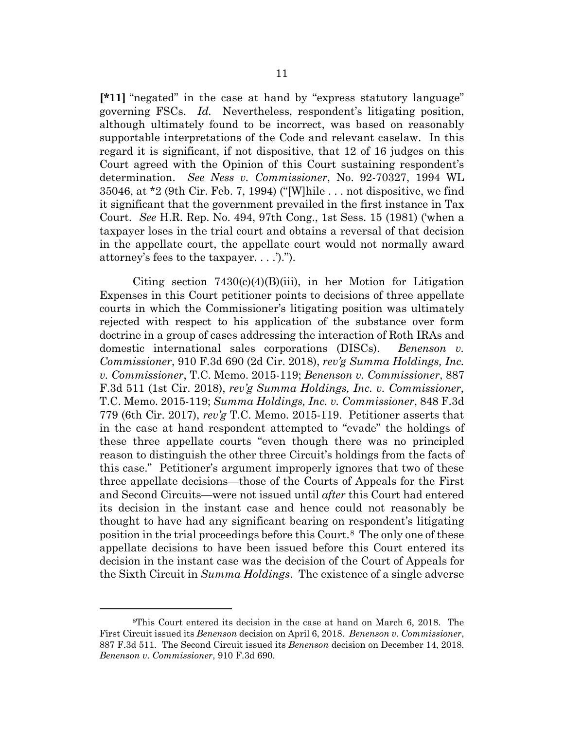**[\*11]** "negated" in the case at hand by "express statutory language" governing FSCs. *Id.* Nevertheless, respondent's litigating position, although ultimately found to be incorrect, was based on reasonably supportable interpretations of the Code and relevant caselaw. In this regard it is significant, if not dispositive, that 12 of 16 judges on this Court agreed with the Opinion of this Court sustaining respondent's determination. *See Ness v. Commissioner*, No. 92-70327, 1994 WL 35046, at \*2 (9th Cir. Feb. 7, 1994) ("[W]hile . . . not dispositive, we find it significant that the government prevailed in the first instance in Tax Court. *See* H.R. Rep. No. 494, 97th Cong., 1st Sess. 15 (1981) ('when a taxpayer loses in the trial court and obtains a reversal of that decision in the appellate court, the appellate court would not normally award attorney's fees to the taxpayer. . . .').").

Citing section  $7430(c)(4)(B)(iii)$ , in her Motion for Litigation Expenses in this Court petitioner points to decisions of three appellate courts in which the Commissioner's litigating position was ultimately rejected with respect to his application of the substance over form doctrine in a group of cases addressing the interaction of Roth IRAs and domestic international sales corporations (DISCs). *Benenson v. Commissioner*, 910 F.3d 690 (2d Cir. 2018), *rev'g Summa Holdings, Inc. v. Commissioner*, T.C. Memo. 2015-119; *Benenson v. Commissioner*, 887 F.3d 511 (1st Cir. 2018), *rev'g Summa Holdings, Inc. v. Commissioner*, T.C. Memo. 2015-119; *Summa Holdings, Inc. v. Commissioner*, 848 F.3d 779 (6th Cir. 2017), *rev'g* T.C. Memo. 2015-119. Petitioner asserts that in the case at hand respondent attempted to "evade" the holdings of these three appellate courts "even though there was no principled reason to distinguish the other three Circuit's holdings from the facts of this case." Petitioner's argument improperly ignores that two of these three appellate decisions—those of the Courts of Appeals for the First and Second Circuits—were not issued until *after* this Court had entered its decision in the instant case and hence could not reasonably be thought to have had any significant bearing on respondent's litigating position in the trial proceedings before this Court.[8](#page-10-0) The only one of these appellate decisions to have been issued before this Court entered its decision in the instant case was the decision of the Court of Appeals for the Sixth Circuit in *Summa Holdings*. The existence of a single adverse

<span id="page-10-0"></span><sup>8</sup>This Court entered its decision in the case at hand on March 6, 2018. The First Circuit issued its *Benenson* decision on April 6, 2018. *Benenson v. Commissioner*, 887 F.3d 511. The Second Circuit issued its *Benenson* decision on December 14, 2018. *Benenson v. Commissioner*, 910 F.3d 690.